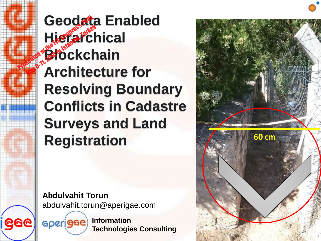**Geodata Enabled Hierarchical Blockchain Architecture for Resolving Boundary Conflicts in Cadastre Surveys and Land Registration Presented at the FIG Congress 2018, 1999 and 2018, 1999 and 2018, 1999 and 2018, 1999 and 2018, 1999 and 2018 Hierarch**<br>Mierarch<br>Brockch

> **Abdulvahit Torun** abdulvahit.torun@aperigae.com

aperigae

**Information Technologies Consulting**

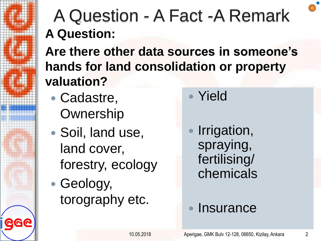### A Question - A Fact -A Remark **A Question:**

**Are there other data sources in someone's hands for land consolidation or property valuation?**

- Cadastre, **Ownership**
- Soil, land use, land cover, forestry, ecology
- Geology, torography etc.

Yield

 Irrigation, spraying, fertilising/ chemicals

#### **Insurance**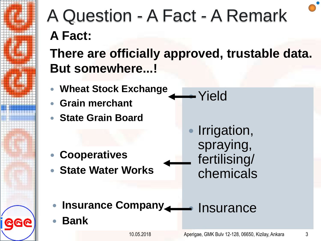

### A Question - A Fact - A Remark **A Fact:**

**There are officially approved, trustable data. But somewhere...!**

- **Wheat Stock Exchange**
- **Grain merchant**
- **State Grain Board**

**Cooperatives**

**State Water Works**

 Irrigation, spraying, fertilising/ chemicals

Yield

- **Insurance Company And All Property Company**
- **Bank**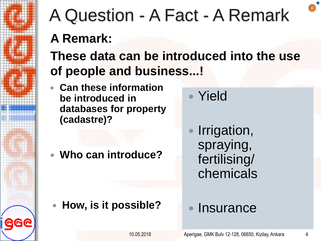

# A Question - A Fact - A Remark

### **A Remark:**

### **These data can be introduced into the use of people and business...!**

 **Can these information be introduced in databases for property (cadastre)?**

**Who can introduce?**

Yield

 Irrigation, spraying, fertilising/ chemicals

**How, is it possible?**

#### **Insurance**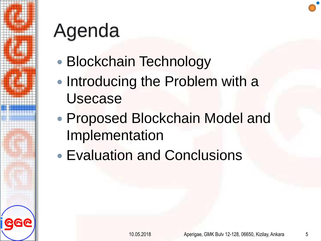

# Agenda

- Blockchain Technology
- Introducing the Problem with a Usecase
- Proposed Blockchain Model and Implementation
- Evaluation and Conclusions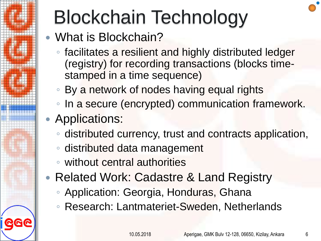

# Blockchain Technology

- What is Blockchain?
	- facilitates a resilient and highly distributed ledger (registry) for recording transactions (blocks timestamped in a time sequence)
	- By a network of nodes having equal rights
	- In a secure (encrypted) communication framework.
- Applications:
	- distributed currency, trust and contracts application,
	- distributed data management
	- without central authorities
- Related Work: Cadastre & Land Registry
	- Application: Georgia, Honduras, Ghana
	- Research: Lantmateriet-Sweden, Netherlands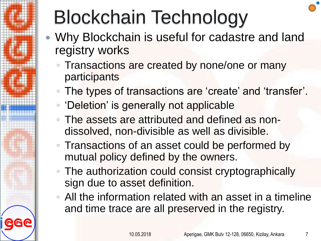

# Blockchain Technology

- Why Blockchain is useful for cadastre and land registry works
	- Transactions are created by none/one or many participants
	- The types of transactions are 'create' and 'transfer'.
	- 'Deletion' is generally not applicable
	- The assets are attributed and defined as nondissolved, non-divisible as well as divisible.
	- Transactions of an asset could be performed by mutual policy defined by the owners.
	- The authorization could consist cryptographically sign due to asset definition.
	- All the information related with an asset in a timeline and time trace are all preserved in the registry.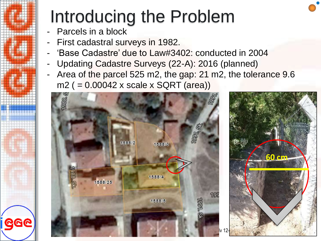## Introducing the Problem

- Parcels in a block
- First cadastral surveys in 1982.
- 'Base Cadastre' due to Law#3402: conducted in 2004
- Updating Cadastre Surveys (22-A): 2016 (planned)
- Area of the parcel 525 m2, the gap: 21 m2, the tolerance 9.6 m2 ( = 0.00042 x scale x SQRT (area))

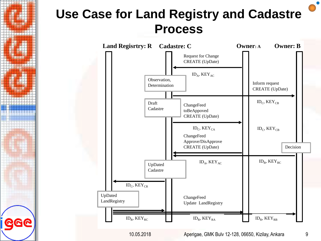### **Use Case for Land Registry and Cadastre Process**

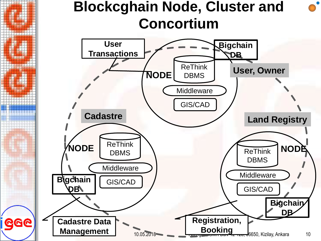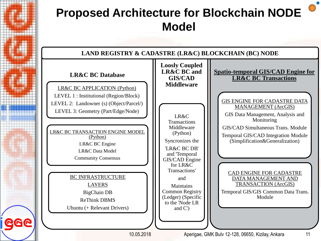#### **Proposed Architecture for Blockchain NODE Model**

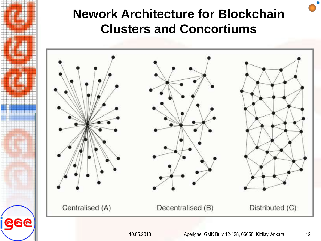#### **Nework Architecture for Blockchain Clusters and Concortiums**



<u>GGC</u>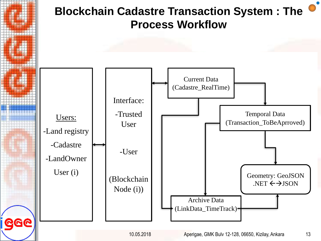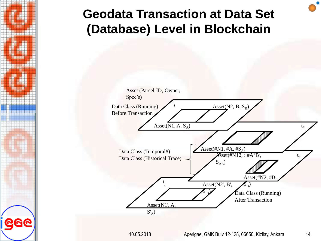#### **Geodata Transaction at Data Set (Database) Level in Blockchain**

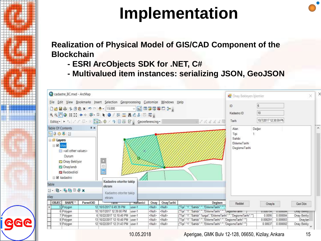### **Implementation**

**Realization of Physical Model of GIS/CAD Component of the Blockchain**

- **- ESRI ArcObjects SDK for .NET, C#**
- **- Multivalued item instances: serializing JSON, GeoJSON**

| Cadastre_BC.mxd - ArcMap                                                                                                         |           |                                                                                                                                                                                                                                                                                                                                                                                                                                                                                                                          |           |                                 |                                 |                                                                                                                                   | Onay Bekleyen Islemler                                                                |                                           |                      |                        |
|----------------------------------------------------------------------------------------------------------------------------------|-----------|--------------------------------------------------------------------------------------------------------------------------------------------------------------------------------------------------------------------------------------------------------------------------------------------------------------------------------------------------------------------------------------------------------------------------------------------------------------------------------------------------------------------------|-----------|---------------------------------|---------------------------------|-----------------------------------------------------------------------------------------------------------------------------------|---------------------------------------------------------------------------------------|-------------------------------------------|----------------------|------------------------|
| Table Of Contents<br>◎自令會国<br><b>B</b> Layers<br>$\boxminus$ $\boxtimes$ olay<br>$\Box$ <all other="" values=""><br/>Dunum</all> | # x       | File Edit View Bookmarks Insert Selection Geoprocessing Customize Windows Help<br>$\begin{picture}(150,10) \put(0,0){\line(1,0){10}} \put(150,0){\line(1,0){10}} \put(150,0){\line(1,0){10}} \put(150,0){\line(1,0){10}} \put(150,0){\line(1,0){10}} \put(150,0){\line(1,0){10}} \put(150,0){\line(1,0){10}} \put(150,0){\line(1,0){10}} \put(150,0){\line(1,0){10}} \put(150,0){\line(1,0){10}} \put(150,0){\line(1,0){10}} \$<br>99图0#음◆ 图·日本 0/月益品名品回闻。<br>Editor → N / / 4 4 + K K 1: 中 / 9 国 区 日 _ Georeferencing - |           |                                 |                                 | ップスさえは屋                                                                                                                           | Đ<br>Kadastro ID<br>Tarih<br>Alan<br>Tipi<br>Sahibi<br>Ekleme Tarihi<br>Degisme Tanhi | 6<br>10<br>10/7/2017 12:38:59 PM<br>Değer |                      |                        |
| Onay Bekliyor<br>Onaylandı<br><b>Pa</b> Reddedildi<br>$A \trianglerighteq B$ kadastro                                            |           | $\frac{x}{x}$<br>Kadastro otorite takip                                                                                                                                                                                                                                                                                                                                                                                                                                                                                  |           |                                 |                                 |                                                                                                                                   |                                                                                       |                                           |                      |                        |
| Table                                                                                                                            |           | ekranı                                                                                                                                                                                                                                                                                                                                                                                                                                                                                                                   |           |                                 |                                 |                                                                                                                                   |                                                                                       |                                           |                      |                        |
| $\exists$ - $\exists$ - $\in$ $\Theta$ $\circ$ $\in$ x                                                                           |           | Kadastro otonte takip                                                                                                                                                                                                                                                                                                                                                                                                                                                                                                    |           |                                 |                                 |                                                                                                                                   |                                                                                       |                                           |                      |                        |
| olay                                                                                                                             |           | ekrani                                                                                                                                                                                                                                                                                                                                                                                                                                                                                                                   |           |                                 |                                 |                                                                                                                                   |                                                                                       |                                           |                      |                        |
|                                                                                                                                  |           |                                                                                                                                                                                                                                                                                                                                                                                                                                                                                                                          | wullanici | Onay                            | OnayTarihi                      | Degisen                                                                                                                           | Reddet                                                                                | Onayla                                    |                      | Gen Dan                |
| OBJEC SHAPE*                                                                                                                     | ParselOID | <b>Tarm</b>                                                                                                                                                                                                                                                                                                                                                                                                                                                                                                              |           |                                 | <null></null>                   | [Tipi" 1","Sahibi", "EklemeTanhi",                                                                                                |                                                                                       |                                           |                      |                        |
| 5 Polygon                                                                                                                        |           | 12 10/5/2017 6:49:39 PM                                                                                                                                                                                                                                                                                                                                                                                                                                                                                                  | user-1    | <null></null>                   |                                 |                                                                                                                                   |                                                                                       |                                           |                      |                        |
| 6 Polygon                                                                                                                        |           | 10 10/7/2017 12:39:00 PM                                                                                                                                                                                                                                                                                                                                                                                                                                                                                                 | user-1    | <null></null>                   | <null></null>                   | ["Tipi":"1","Sahibi":","EklemeTanhi":"","begismenanni                                                                             |                                                                                       | U.UU0154                                  | U.UUUUH              | onay bexay             |
| 7 Polygon                                                                                                                        |           | 6 10/22/2017 12:10:40 PM                                                                                                                                                                                                                                                                                                                                                                                                                                                                                                 | user-1    | <null></null>                   | <null></null>                   | ["Tipi":"1","Sahibi":"turgut","EklemeTanhi":"","DegismeTanhi":""]                                                                 |                                                                                       | 0.0095                                    | 0.000004             | Onay Bekliy            |
| 8 Polygon<br>9 Polygon                                                                                                           |           | 13 10/22/2017 12:10:40 PM user-1<br>12 10/22/2017 12:31:43 PM user-1                                                                                                                                                                                                                                                                                                                                                                                                                                                     |           | <null><br/><null></null></null> | <null><br/><null></null></null> | {"Tipi":"1","Sahibi":"","EklemeTanhi":"","DegismeTanhi":""]<br>["Tipi": "1", "Sahibi": "", "EklemeTanhi": "", "DegismeTanhi": ""] |                                                                                       | 0.008291<br>0.00637                       | 0.000003<br>0.000002 | Onaylan<br>Onay Bekliy |

10.05.2018 Aperigae, GMK Bulv 12-128, 06650, Kizilay, Ankara 15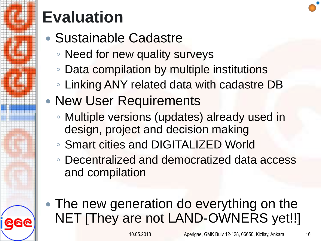

### **Evaluation**

- Sustainable Cadastre
	- Need for new quality surveys
	- Data compilation by multiple institutions
	- Linking ANY related data with cadastre DB
- New User Requirements
	- Multiple versions (updates) already used in design, project and decision making
	- Smart cities and DIGITALIZED World
	- Decentralized and democratized data access and compilation
- The new generation do everything on the NET [They are not LAND-OWNERS yet!!]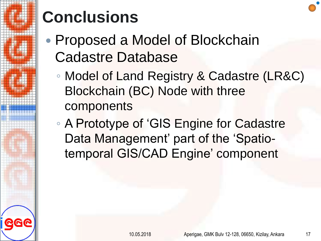

## **Conclusions**

- Proposed a Model of Blockchain Cadastre Database
	- Model of Land Registry & Cadastre (LR&C) Blockchain (BC) Node with three components
	- A Prototype of 'GIS Engine for Cadastre Data Management' part of the 'Spatiotemporal GIS/CAD Engine' component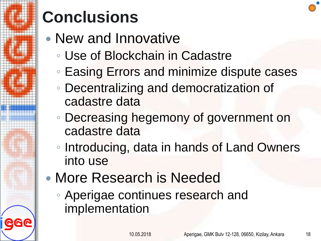

## **Conclusions**

- New and Innovative
	- Use of Blockchain in Cadastre
	- Easing Errors and minimize dispute cases
	- Decentralizing and democratization of cadastre data
	- Decreasing hegemony of government on cadastre data
	- Introducing, data in hands of Land Owners into use
- More Research is Needed
	- Aperigae continues research and implementation